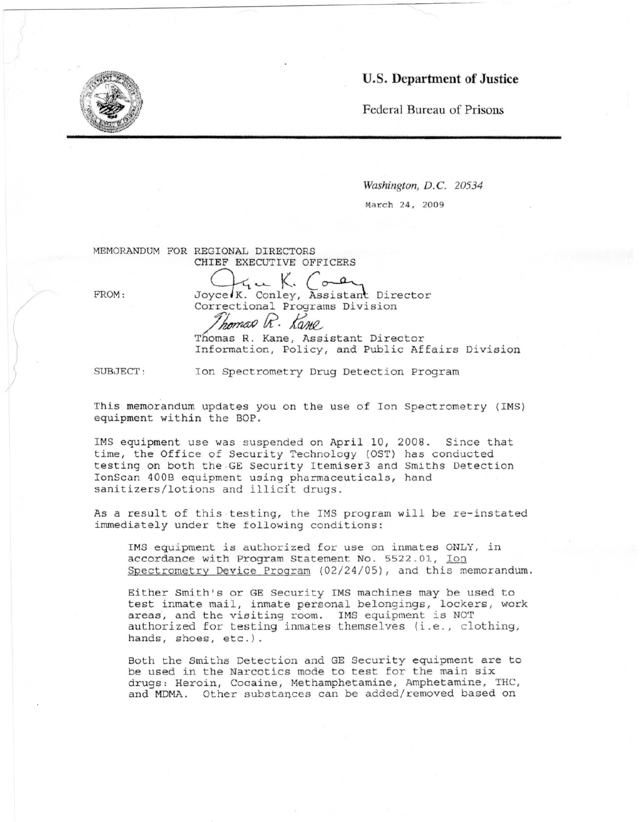## **u.s. Department of Justice**



*Washington, D.*C. *20534* March 24, 2009

MEMORANDUM FOR REGIONAL DIRECTORS CHIEF EXECUTIVE OFFICERS

FROM:

/

 $\setminus$ 

Joyce K. Conley, Assistant Director Correctional Programs Division *Ihomas R. Kane* 

Thomas R. Kane, Assistant Director Information, Policy, and Public Affairs Division

SUBJECT: Ion Spectrometry Drug Detection Program

This memorandum updates you on the use of Ion Spectrometry (IMS) equipment within the BOP.

IMS equipment use was suspended on April 10, 2008. Since that time, the Office of Security Technology (OST) has conducted testing on both the,GE Security Itemiser3 and Smiths Detection lonScan 400B equipment using pharmaceuticals, hand sanitizers/lotions and illicit drugs.

As a result of this. testing, the IMS program will be re-instated immediately under the following conditions:

1MS equipment is authorized for use on inmates ONLY, in accordance with Program Statement No. 5522.01, Ion Spectrometry Device Program (02/24/05), and this memorandum.

Either Smith's or GE Security 1MS machines may be used to test inmate mail, inmate personal belongings, lockers, work areas, and the visiting room. IMS equipment is NOT authorized for testing inmates themselves (i.e., clothing, hands, shoes, etc.).

Both the Smiths Detection and GE Security equipment are to be used in the Narcotics mode to test for the main six drugs: Heroin, Cocaine, Methamphetamine, Amphetamine, THC, and MDMA. Other substances can be added/removed based on